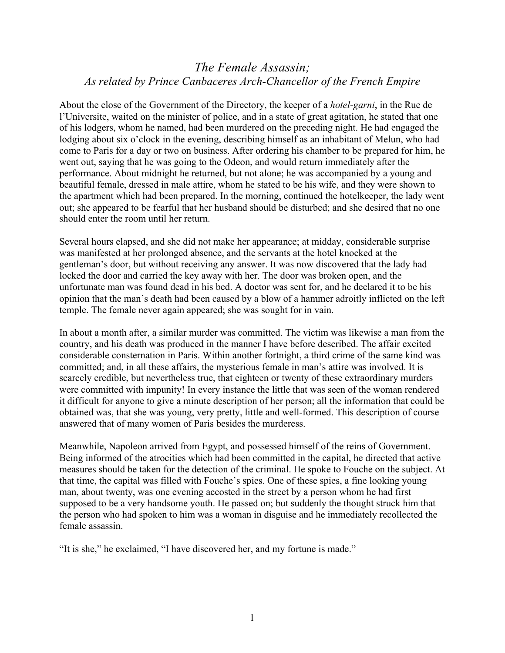## *The Female Assassin; As related by Prince Canbaceres Arch-Chancellor of the French Empire*

About the close of the Government of the Directory, the keeper of a *hotel-garni*, in the Rue de l'Universite, waited on the minister of police, and in a state of great agitation, he stated that one of his lodgers, whom he named, had been murdered on the preceding night. He had engaged the lodging about six o'clock in the evening, describing himself as an inhabitant of Melun, who had come to Paris for a day or two on business. After ordering his chamber to be prepared for him, he went out, saying that he was going to the Odeon, and would return immediately after the performance. About midnight he returned, but not alone; he was accompanied by a young and beautiful female, dressed in male attire, whom he stated to be his wife, and they were shown to the apartment which had been prepared. In the morning, continued the hotelkeeper, the lady went out; she appeared to be fearful that her husband should be disturbed; and she desired that no one should enter the room until her return.

Several hours elapsed, and she did not make her appearance; at midday, considerable surprise was manifested at her prolonged absence, and the servants at the hotel knocked at the gentleman's door, but without receiving any answer. It was now discovered that the lady had locked the door and carried the key away with her. The door was broken open, and the unfortunate man was found dead in his bed. A doctor was sent for, and he declared it to be his opinion that the man's death had been caused by a blow of a hammer adroitly inflicted on the left temple. The female never again appeared; she was sought for in vain.

In about a month after, a similar murder was committed. The victim was likewise a man from the country, and his death was produced in the manner I have before described. The affair excited considerable consternation in Paris. Within another fortnight, a third crime of the same kind was committed; and, in all these affairs, the mysterious female in man's attire was involved. It is scarcely credible, but nevertheless true, that eighteen or twenty of these extraordinary murders were committed with impunity! In every instance the little that was seen of the woman rendered it difficult for anyone to give a minute description of her person; all the information that could be obtained was, that she was young, very pretty, little and well-formed. This description of course answered that of many women of Paris besides the murderess.

Meanwhile, Napoleon arrived from Egypt, and possessed himself of the reins of Government. Being informed of the atrocities which had been committed in the capital, he directed that active measures should be taken for the detection of the criminal. He spoke to Fouche on the subject. At that time, the capital was filled with Fouche's spies. One of these spies, a fine looking young man, about twenty, was one evening accosted in the street by a person whom he had first supposed to be a very handsome youth. He passed on; but suddenly the thought struck him that the person who had spoken to him was a woman in disguise and he immediately recollected the female assassin.

"It is she," he exclaimed, "I have discovered her, and my fortune is made."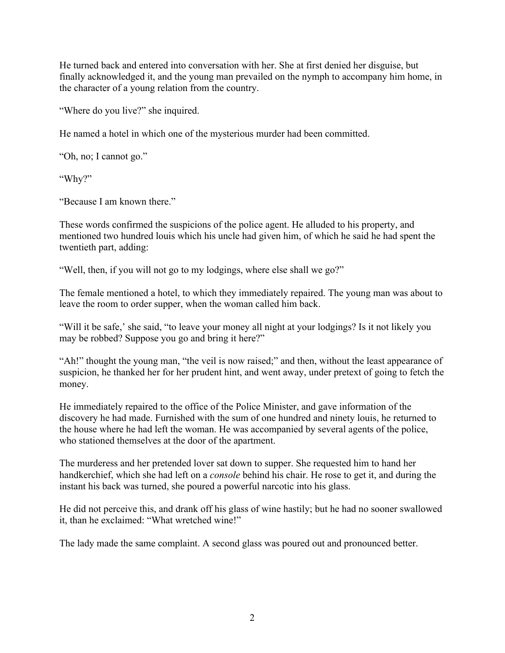He turned back and entered into conversation with her. She at first denied her disguise, but finally acknowledged it, and the young man prevailed on the nymph to accompany him home, in the character of a young relation from the country.

"Where do you live?" she inquired.

He named a hotel in which one of the mysterious murder had been committed.

"Oh, no; I cannot go."

"Why?"

"Because I am known there."

These words confirmed the suspicions of the police agent. He alluded to his property, and mentioned two hundred louis which his uncle had given him, of which he said he had spent the twentieth part, adding:

"Well, then, if you will not go to my lodgings, where else shall we go?"

The female mentioned a hotel, to which they immediately repaired. The young man was about to leave the room to order supper, when the woman called him back.

"Will it be safe,' she said, "to leave your money all night at your lodgings? Is it not likely you may be robbed? Suppose you go and bring it here?"

"Ah!" thought the young man, "the veil is now raised;" and then, without the least appearance of suspicion, he thanked her for her prudent hint, and went away, under pretext of going to fetch the money.

He immediately repaired to the office of the Police Minister, and gave information of the discovery he had made. Furnished with the sum of one hundred and ninety louis, he returned to the house where he had left the woman. He was accompanied by several agents of the police, who stationed themselves at the door of the apartment.

The murderess and her pretended lover sat down to supper. She requested him to hand her handkerchief, which she had left on a *console* behind his chair. He rose to get it, and during the instant his back was turned, she poured a powerful narcotic into his glass.

He did not perceive this, and drank off his glass of wine hastily; but he had no sooner swallowed it, than he exclaimed: "What wretched wine!"

The lady made the same complaint. A second glass was poured out and pronounced better.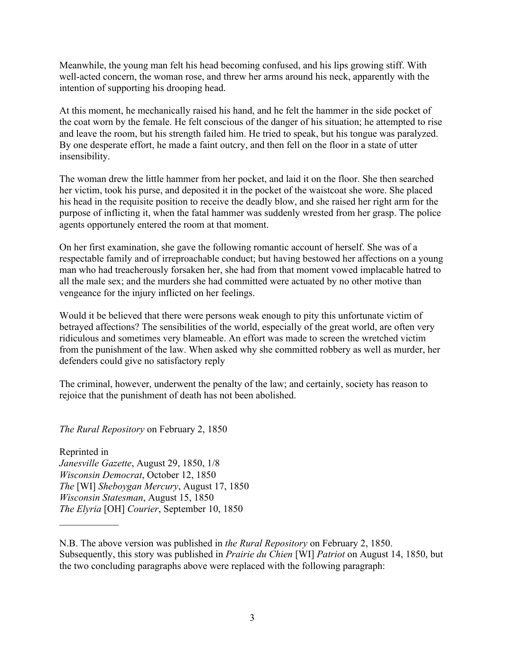Meanwhile, the young man felt his head becoming confused, and his lips growing stiff. With well-acted concern, the woman rose, and threw her arms around his neck, apparently with the intention of supporting his drooping head.

At this moment, he mechanically raised his hand, and he felt the hammer in the side pocket of the coat worn by the female. He felt conscious of the danger of his situation; he attempted to rise and leave the room, but his strength failed him. He tried to speak, but his tongue was paralyzed. By one desperate effort, he made a faint outcry, and then fell on the floor in a state of utter insensibility.

The woman drew the little hammer from her pocket, and laid it on the floor. She then searched her victim, took his purse, and deposited it in the pocket of the waistcoat she wore. She placed his head in the requisite position to receive the deadly blow, and she raised her right arm for the purpose of inflicting it, when the fatal hammer was suddenly wrested from her grasp. The police agents opportunely entered the room at that moment.

On her first examination, she gave the following romantic account of herself. She was of a respectable family and of irreproachable conduct; but having bestowed her affections on a young man who had treacherously forsaken her, she had from that moment vowed implacable hatred to all the male sex; and the murders she had committed were actuated by no other motive than vengeance for the injury inflicted on her feelings.

Would it be believed that there were persons weak enough to pity this unfortunate victim of betrayed affections? The sensibilities of the world, especially of the great world, are often very ridiculous and sometimes very blameable. An effort was made to screen the wretched victim from the punishment of the law. When asked why she committed robbery as well as murder, her defenders could give no satisfactory reply

The criminal, however, underwent the penalty of the law; and certainly, society has reason to rejoice that the punishment of death has not been abolished.

*The Rural Repository* on February 2, 1850

 $\mathcal{L}_\text{max}$ 

Reprinted in *Janesville Gazette*, August 29, 1850, 1/8 *Wisconsin Democrat*, October 12, 1850 *The* [WI] *Sheboygan Mercury*, August 17, 1850 *Wisconsin Statesman*, August 15, 1850 *The Elyria* [OH] *Courier*, September 10, 1850

N.B. The above version was published in *the Rural Repository* on February 2, 1850. Subsequently, this story was published in *Prairie du Chien* [WI] *Patriot* on August 14, 1850, but the two concluding paragraphs above were replaced with the following paragraph: